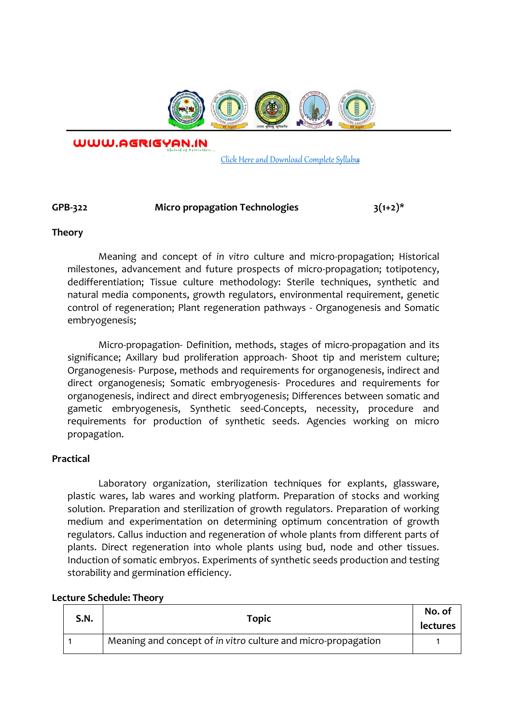

WWW.AGRIGYAN.IN

[Click Here and Download Complete Syllabus](http://agrigyan.in/)

## GPB-322 Micro propagation Technologies 3(1+2)\*

#### **Theory**

 $\overline{a}$ 

Meaning and concept of *in vitro* culture and micro-propagation; Historical milestones, advancement and future prospects of micro-propagation; totipotency, dedifferentiation; Tissue culture methodology: Sterile techniques, synthetic and natural media components, growth regulators, environmental requirement, genetic control of regeneration; Plant regeneration pathways - Organogenesis and Somatic embryogenesis;

Micro-propagation- Definition, methods, stages of micro-propagation and its significance; Axillary bud proliferation approach- Shoot tip and meristem culture; Organogenesis- Purpose, methods and requirements for organogenesis, indirect and direct organogenesis; Somatic embryogenesis- Procedures and requirements for organogenesis, indirect and direct embryogenesis; Differences between somatic and gametic embryogenesis, Synthetic seed-Concepts, necessity, procedure and requirements for production of synthetic seeds. Agencies working on micro propagation.

### **Practical**

Laboratory organization, sterilization techniques for explants, glassware, plastic wares, lab wares and working platform. Preparation of stocks and working solution. Preparation and sterilization of growth regulators. Preparation of working medium and experimentation on determining optimum concentration of growth regulators. Callus induction and regeneration of whole plants from different parts of plants. Direct regeneration into whole plants using bud, node and other tissues. Induction of somatic embryos. Experiments of synthetic seeds production and testing storability and germination efficiency.

| S.N. | <b>Topic</b>                                                  | No. of<br><b>lectures</b> |
|------|---------------------------------------------------------------|---------------------------|
|      | Meaning and concept of in vitro culture and micro-propagation |                           |

### **Lecture Schedule: Theory**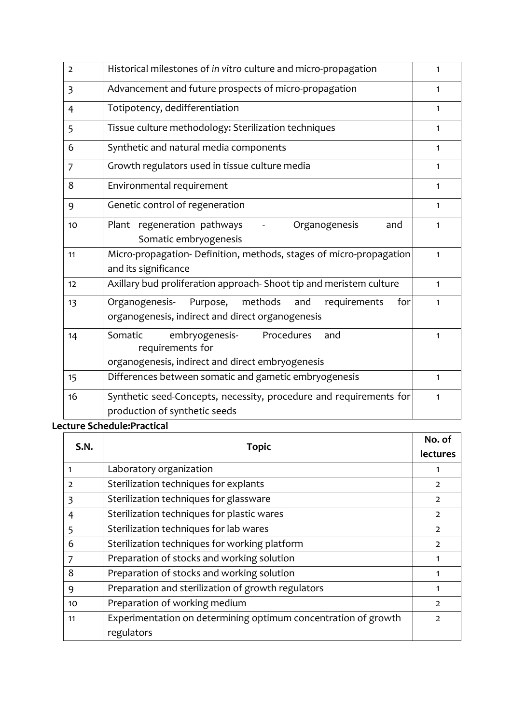| $\overline{2}$ | Historical milestones of in vitro culture and micro-propagation                                                         | 1            |
|----------------|-------------------------------------------------------------------------------------------------------------------------|--------------|
| 3              | Advancement and future prospects of micro-propagation                                                                   | 1            |
| $\overline{4}$ | Totipotency, dedifferentiation                                                                                          | $\mathbf{1}$ |
| 5              | Tissue culture methodology: Sterilization techniques                                                                    | $\mathbf{1}$ |
| 6              | Synthetic and natural media components                                                                                  | $\mathbf{1}$ |
| $\overline{7}$ | Growth regulators used in tissue culture media                                                                          | $\mathbf{1}$ |
| 8              | Environmental requirement                                                                                               | 1            |
| 9              | Genetic control of regeneration                                                                                         | 1            |
| 10             | Plant regeneration pathways<br>Organogenesis<br>and<br>Somatic embryogenesis                                            | 1            |
| 11             | Micro-propagation- Definition, methods, stages of micro-propagation<br>and its significance                             | $\mathbf{1}$ |
| 12             | Axillary bud proliferation approach- Shoot tip and meristem culture                                                     | 1            |
| 13             | methods<br>Organogenesis-<br>Purpose,<br>requirements<br>and<br>for<br>organogenesis, indirect and direct organogenesis | 1            |
| 14             | Somatic<br>embryogenesis-<br>Procedures<br>and<br>requirements for<br>organogenesis, indirect and direct embryogenesis  | 1            |
| 15             | Differences between somatic and gametic embryogenesis                                                                   | $\mathbf{1}$ |
| 16             | Synthetic seed-Concepts, necessity, procedure and requirements for<br>production of synthetic seeds                     | $\mathbf{1}$ |

# **Lecture Schedule:Practical**

| <b>S.N.</b>    | <b>Topic</b>                                                                 | No. of<br><b>lectures</b> |
|----------------|------------------------------------------------------------------------------|---------------------------|
| 1              | Laboratory organization                                                      |                           |
| $\overline{2}$ | Sterilization techniques for explants                                        | $\overline{2}$            |
| 3              | Sterilization techniques for glassware                                       | $\overline{2}$            |
| 4              | Sterilization techniques for plastic wares                                   | $\overline{2}$            |
| 5              | Sterilization techniques for lab wares                                       | $\overline{2}$            |
| 6              | Sterilization techniques for working platform                                | $\overline{2}$            |
| 7              | Preparation of stocks and working solution                                   |                           |
| 8              | Preparation of stocks and working solution                                   | 1                         |
| 9              | Preparation and sterilization of growth regulators                           | 1                         |
| 10             | Preparation of working medium                                                | $\overline{2}$            |
| 11             | Experimentation on determining optimum concentration of growth<br>regulators | 2                         |